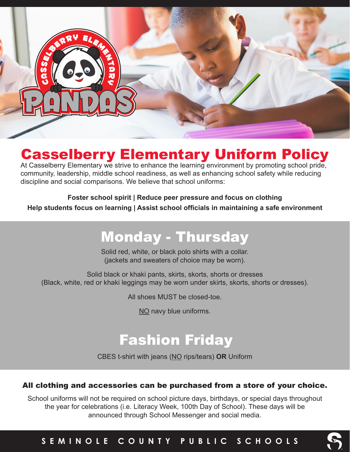

## Casselberry Elementary Uniform Policy

At Casselberry Elementary we strive to enhance the learning environment by promoting school pride, community, leadership, middle school readiness, as well as enhancing school safety while reducing discipline and social comparisons. We believe that school uniforms:

**Foster school spirit | Reduce peer pressure and focus on clothing**

**Help students focus on learning | Assist school officials in maintaining a safe environment**

# Monday - Thursday

Solid red, white, or black polo shirts with a collar. (jackets and sweaters of choice may be worn).

Solid black or khaki pants, skirts, skorts, shorts or dresses (Black, white, red or khaki leggings may be worn under skirts, skorts, shorts or dresses).

All shoes MUST be closed-toe.

NO navy blue uniforms.

## Fashion Friday

CBES t-shirt with jeans (NO rips/tears) **OR** Uniform

#### All clothing and accessories can be purchased from a store of your choice.

School uniforms will not be required on school picture days, birthdays, or special days throughout the year for celebrations (i.e. Literacy Week, 100th Day of School). These days will be announced through School Messenger and social media.

#### **SEMINOLE COUNTY PUBLIC SCHOOLS**